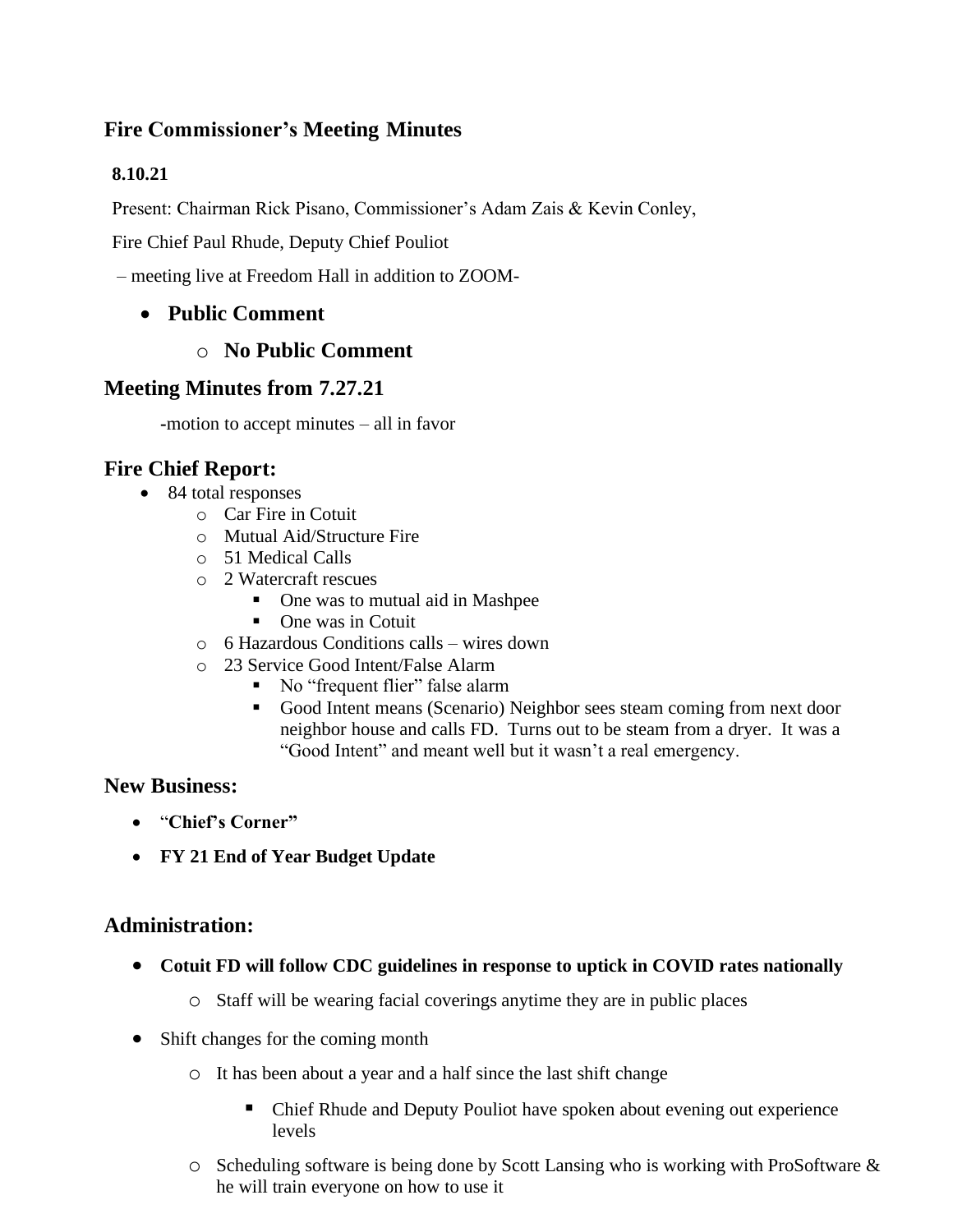# **Fire Commissioner's Meeting Minutes**

### **8.10.21**

Present: Chairman Rick Pisano, Commissioner's Adam Zais & Kevin Conley,

Fire Chief Paul Rhude, Deputy Chief Pouliot

– meeting live at Freedom Hall in addition to ZOOM-

## • **Public Comment**

### o **No Public Comment**

## **Meeting Minutes from 7.27.21**

**-**motion to accept minutes – all in favor

## **Fire Chief Report:**

- 84 total responses
	- o Car Fire in Cotuit
	- o Mutual Aid/Structure Fire
	- o 51 Medical Calls
	- o 2 Watercraft rescues
		- One was to mutual aid in Mashpee
		- One was in Cotuit
	- o 6 Hazardous Conditions calls wires down
	- o 23 Service Good Intent/False Alarm
		- No "frequent flier" false alarm
		- Good Intent means (Scenario) Neighbor sees steam coming from next door neighbor house and calls FD. Turns out to be steam from a dryer. It was a "Good Intent" and meant well but it wasn't a real emergency.

### **New Business:**

- "**Chief's Corner"**
- **FY 21 End of Year Budget Update**

### **Administration:**

- **Cotuit FD will follow CDC guidelines in response to uptick in COVID rates nationally**
	- o Staff will be wearing facial coverings anytime they are in public places
- Shift changes for the coming month
	- o It has been about a year and a half since the last shift change
		- Chief Rhude and Deputy Pouliot have spoken about evening out experience levels
	- $\circ$  Scheduling software is being done by Scott Lansing who is working with ProSoftware & he will train everyone on how to use it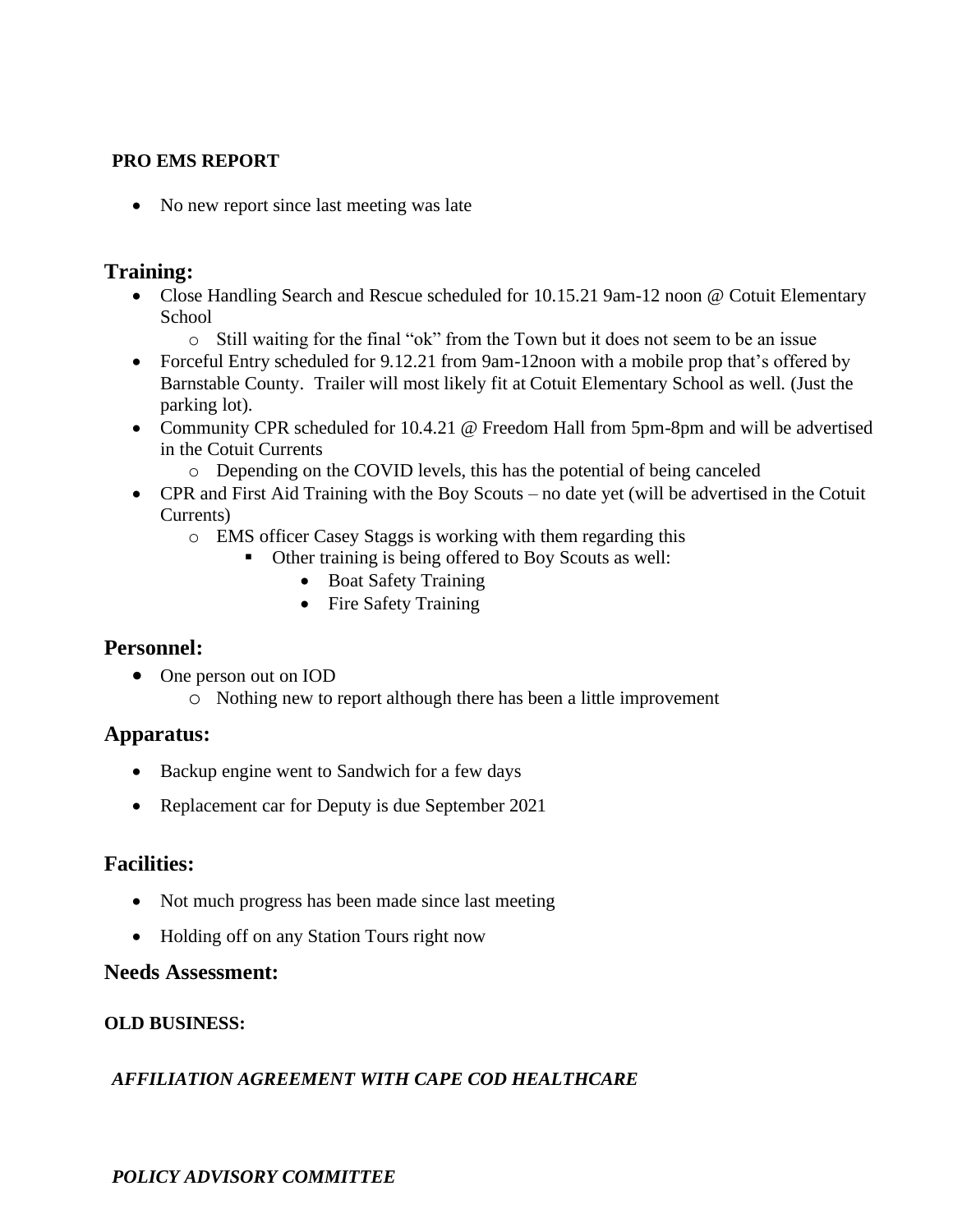#### **PRO EMS REPORT**

• No new report since last meeting was late

### **Training:**

- Close Handling Search and Rescue scheduled for 10.15.21 9am-12 noon @ Cotuit Elementary School
	- o Still waiting for the final "ok" from the Town but it does not seem to be an issue
- Forceful Entry scheduled for 9.12.21 from 9am-12noon with a mobile prop that's offered by Barnstable County. Trailer will most likely fit at Cotuit Elementary School as well. (Just the parking lot).
- Community CPR scheduled for 10.4.21 @ Freedom Hall from 5pm-8pm and will be advertised in the Cotuit Currents
	- o Depending on the COVID levels, this has the potential of being canceled
- CPR and First Aid Training with the Boy Scouts no date yet (will be advertised in the Cotuit Currents)
	- o EMS officer Casey Staggs is working with them regarding this
		- Other training is being offered to Boy Scouts as well:
			- Boat Safety Training
			- Fire Safety Training

### **Personnel:**

- One person out on **IOD** 
	- o Nothing new to report although there has been a little improvement

### **Apparatus:**

- Backup engine went to Sandwich for a few days
- Replacement car for Deputy is due September 2021

### **Facilities:**

- Not much progress has been made since last meeting
- Holding off on any Station Tours right now

### **Needs Assessment:**

### **OLD BUSINESS:**

### *AFFILIATION AGREEMENT WITH CAPE COD HEALTHCARE*

### *POLICY ADVISORY COMMITTEE*